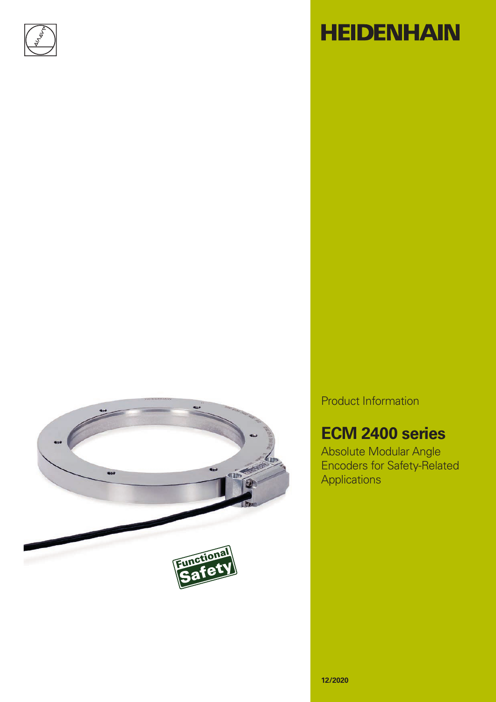

# **HEIDENHAIN**



Product Information

### **ECM 2400 series**

Absolute Modular Angle Encoders for Safety-Related Applications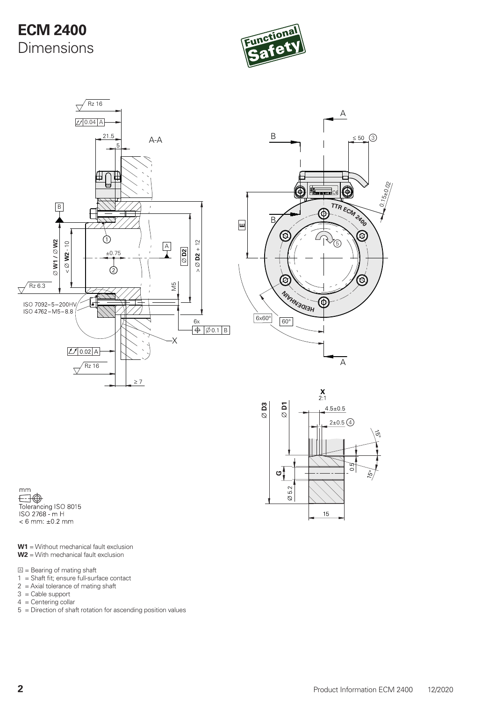### **ECM 2400** Dimensions







 $mm$  $\boxdot \oplus$ Tolerancing ISO 8015<br>ISO 2768 - m H  $< 6$  mm:  $\pm 0.2$  mm

**W1** = Without mechanical fault exclusion **W2** = With mechanical fault exclusion

 $\mathbb{Z}$  = Bearing of mating shaft

- $1 =$  Shaft fit; ensure full-surface contact
- $2 =$  Axial tolerance of mating shaft
- 3 = Cable support
- $4 =$  Centering collar
- 5 = Direction of shaft rotation for ascending position values

0.15±0.02

 $\odot$ 

 $\circledcirc$ 

8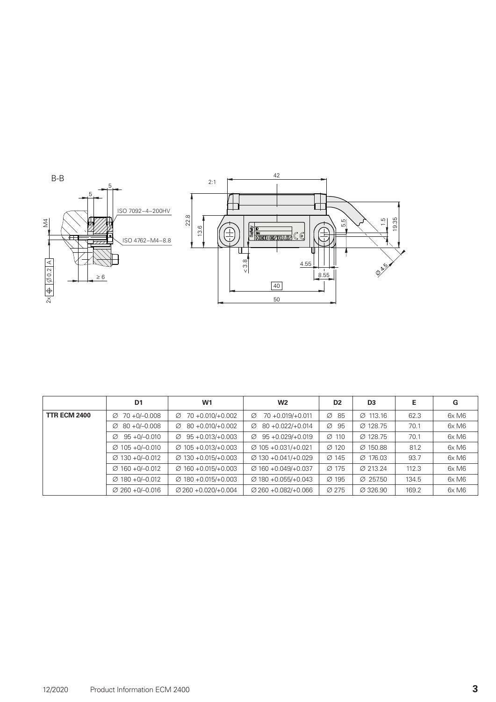

|                     | D <sub>1</sub>               | W1                              | W <sub>2</sub>                  | D <sub>2</sub>    | D <sub>3</sub>       | Е     | G     |
|---------------------|------------------------------|---------------------------------|---------------------------------|-------------------|----------------------|-------|-------|
| <b>TTR ECM 2400</b> | 70 +0/-0.008<br>Ø            | 70 +0.010/+0.002<br>Ø           | $70 + 0.019/ + 0.011$<br>Ø      | $\varnothing$ 85  | $\varnothing$ 113.16 | 62.3  | 6xM6  |
|                     | $80 + 0/-0.008$<br>Ø         | $80 + 0.010 / + 0.002$<br>Ø     | $80 + 0.022 / + 0.014$<br>Ø     | $\varnothing$ 95  | Ø 128.75             | 70.1  | 6x M6 |
|                     | $95 + 0/-0.010$<br>Ø         | $95 + 0.013 / + 0.003$<br>Ø     | $95 + 0.029/ + 0.019$<br>Ø      | $\varnothing$ 110 | Ø 128.75             | 70.1  | 6x M6 |
|                     | $\varnothing$ 105 + 0/-0.010 | $\varnothing$ 105 +0.013/+0.003 | $\varnothing$ 105 +0.031/+0.021 | $\varnothing$ 120 | $\varnothing$ 150.88 | 81.2  | 6xM6  |
|                     | $\varnothing$ 130 + 0/-0.012 | $\varnothing$ 130 +0.015/+0.003 | $\varnothing$ 130 +0.041/+0.029 | $\varnothing$ 145 | $\varnothing$ 176.03 | 93.7  | 6x M6 |
|                     | $\varnothing$ 160 + 0/-0.012 | $\varnothing$ 160 +0.015/+0.003 | $\varnothing$ 160 +0.049/+0.037 | $\varnothing$ 175 | Ø 213.24             | 112.3 | 6x M6 |
|                     | $\varnothing$ 180 +0/-0.012  | $\varnothing$ 180 +0.015/+0.003 | $\varnothing$ 180 +0.055/+0.043 | $\varnothing$ 195 | $\varnothing$ 257.50 | 134.5 | 6x M6 |
|                     | $\varnothing$ 260 + 0/-0.016 | $\varnothing$ 260 +0.020/+0.004 | $\varnothing$ 260 +0.082/+0.066 | Ø 275             | Ø 326.90             | 169.2 | 6xM6  |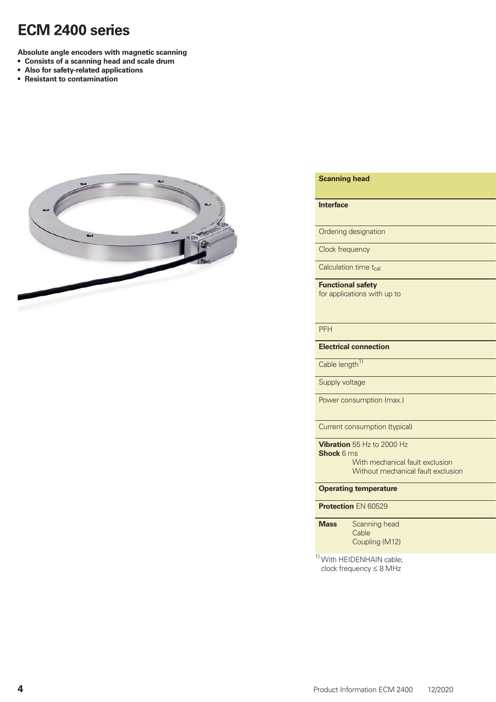### **ECM 2400 series**

**Absolute angle encoders with magnetic scanning**

- **• Consists of a scanning head and scale drum**
- **• Also for safety-related applications**
- **• Resistant to contamination**



#### **Scanning head AK ECM 2410F AK ECM 2410F AK ECM 2410F**

#### **Interface** Endat 2.2 Fanuc Serial Interface;

Ordering designation

Clock frequency

Calculation time t<sub>cal</sub>

**Functional safety** for applications with up to

### PFH ≤ 25 × 10–9 (up to 6000 m above sea level) – 10–9 (up to 6000 m above sea level) – 10–10 m above sea level

**Electrical connection** 

Cable length<sup>1)</sup>

Supply voltage

Power consumption (max.)

**Current consumption (typical)** 

**Vibration** 55 Hz to 2000 Hz **Shock** 6 ms With mechanical fault exclusion

Without mechanical fault exclusion

**Operating temperature** 

### **Protection EN 60529**

| <b>Mass</b> | <b>Scanning head</b> |
|-------------|----------------------|
|             | Cable                |
|             | Coupling (M12)       |

1) With HEIDENHAIN cable; clock frequency  $\leq 8$  MHz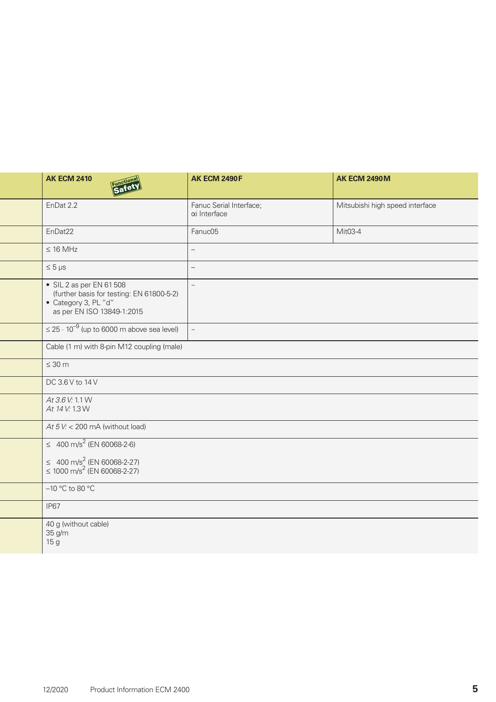| <b>AK ECM 2410</b><br><b>Safe</b>                                                                                           | <b>AK ECM 2490F</b>                     | <b>AK ECM 2490M</b>             |
|-----------------------------------------------------------------------------------------------------------------------------|-----------------------------------------|---------------------------------|
| EnDat 2.2                                                                                                                   | Fanuc Serial Interface;<br>αi Interface | Mitsubishi high speed interface |
| EnDat22                                                                                                                     | Fanuc05                                 | Mit03-4                         |
| $\leq 16$ MHz                                                                                                               |                                         |                                 |
| $\leq 5 \,\mu s$                                                                                                            | $\overline{\phantom{0}}$                |                                 |
| • SIL 2 as per EN 61 508<br>(further basis for testing: EN 61800-5-2)<br>• Category 3, PL "d"<br>as per EN ISO 13849-1:2015 | $\overline{\phantom{0}}$                |                                 |
| $\leq$ 25 $\cdot$ 10 <sup>-9</sup> (up to 6000 m above sea level)                                                           |                                         |                                 |
| Cable (1 m) with 8-pin M12 coupling (male)                                                                                  |                                         |                                 |
| $\leq 30$ m                                                                                                                 |                                         |                                 |
| DC 3.6 V to 14 V                                                                                                            |                                         |                                 |
| At 3.6 V: 1.1 W<br>At 14 V: 1.3 W                                                                                           |                                         |                                 |
| At $5V<$ 200 mA (without load)                                                                                              |                                         |                                 |
| $\leq$ 400 m/s <sup>2</sup> (EN 60068-2-6)                                                                                  |                                         |                                 |
| $≤ 400 m/s2 (EN 60068-2-27)$<br>≤ 1000 m/s <sup>2</sup> (EN 60068-2-27)                                                     |                                         |                                 |
| $-10$ °C to 80 °C                                                                                                           |                                         |                                 |
| <b>IP67</b>                                                                                                                 |                                         |                                 |
| 40 g (without cable)<br>35 g/m<br>15 <sub>g</sub>                                                                           |                                         |                                 |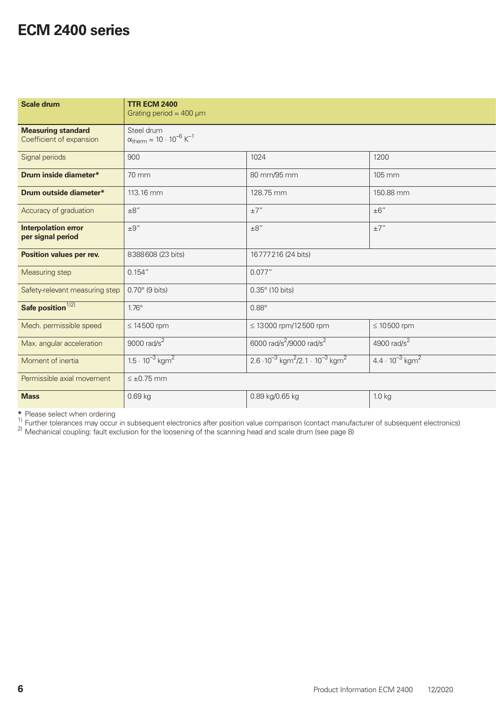### **ECM 2400 series**

| Scale drum                                            | <b>TTR ECM 2400</b><br>Grating period $\approx 400 \mu m$                     |                                                                            |                                      |
|-------------------------------------------------------|-------------------------------------------------------------------------------|----------------------------------------------------------------------------|--------------------------------------|
| <b>Measuring standard</b><br>Coefficient of expansion | Steel drum<br>$\alpha_{\text{therm}} \approx 10 \cdot 10^{-6} \text{ K}^{-1}$ |                                                                            |                                      |
| Signal periods                                        | 900                                                                           | 1024                                                                       | 1200                                 |
| Drum inside diameter*                                 | 70 mm                                                                         | 80 mm/95 mm                                                                | 105 mm                               |
| Drum outside diameter*                                | 113.16 mm                                                                     | 128.75 mm                                                                  | 150.88 mm                            |
| Accuracy of graduation                                | $\pm 8''$                                                                     | $\pm7$ "                                                                   | $\pm 6''$                            |
| <b>Interpolation error</b><br>per signal period       | $\pm 9''$                                                                     | $\pm 8''$                                                                  | ±7"                                  |
| <b>Position values per rev.</b>                       | 8388608 (23 bits)                                                             | 16777216 (24 bits)                                                         |                                      |
| Measuring step                                        | 0.154''                                                                       | 0.077''                                                                    |                                      |
| Safety-relevant measuring step                        | $0.70^\circ$ (9 bits)                                                         | 0.35° (10 bits)                                                            |                                      |
| Safe position <sup><math>1/2</math></sup>             | $1.76^\circ$                                                                  | $0.88^\circ$                                                               |                                      |
| Mech. permissible speed                               | $\leq 14500$ rpm                                                              | $\leq 13000$ rpm/12500 rpm                                                 | $\leq 10500$ rpm                     |
| Max. angular acceleration                             | 9000 rad/s <sup>2</sup>                                                       | 6000 rad/s <sup>2</sup> /9000 rad/s <sup>2</sup>                           | 4900 $rad/s2$                        |
| Moment of inertia                                     | $1.5 \cdot 10^{-3}$ kgm <sup>2</sup>                                          | $2.6 \cdot 10^{-3}$ kgm <sup>2</sup> /2.1 $\cdot 10^{-3}$ kgm <sup>2</sup> | $4.4 \cdot 10^{-3}$ kgm <sup>2</sup> |
| Permissible axial movement                            | $\leq \pm 0.75$ mm                                                            |                                                                            |                                      |
| <b>Mass</b>                                           | 0.69 kg                                                                       | 0.89 kg/0.65 kg                                                            | $1.0 \text{ kg}$                     |

\* Please select when ordering<br><sup>1)</sup> Further tolerances may occur in subsequent electronics after position value comparison (contact manufacturer of subsequent electronics)<br><sup>2)</sup> Mechanical coupling: fault exclusion for the l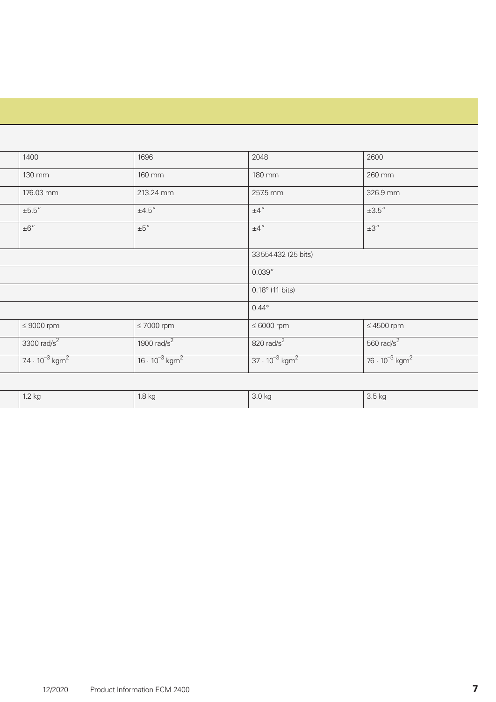| 1400                   |                                     | 1696                                | 2048                                | 2600                                |
|------------------------|-------------------------------------|-------------------------------------|-------------------------------------|-------------------------------------|
| 130 mm                 |                                     | 160 mm                              | 180 mm                              | 260 mm                              |
| 176.03 mm              |                                     | 213.24 mm                           | 257.5 mm                            | 326.9 mm                            |
| $\pm 5.5''$            |                                     | $\pm 4.5$ "                         | $+4"$                               | $\pm 3.5''$                         |
| $  \pm 6"$             |                                     | $1 \pm 5$ "                         | $\pm 4$ "                           | ±3"                                 |
|                        |                                     |                                     | 33554432 (25 bits)                  |                                     |
|                        |                                     |                                     | 0.039"                              |                                     |
|                        |                                     |                                     | $\vert$ 0.18 $^{\circ}$ (11 bits)   |                                     |
|                        |                                     |                                     | $\vert 0.44^{\circ} \vert$          |                                     |
| $\leq 9000$ rpm        |                                     | $\leq 7000$ rpm                     | $\leq 6000$ rpm                     | $\leq 4500$ rpm                     |
| $3300 \text{ rad/s}^2$ |                                     | 1900 $rad/s^2$                      | 820 rad/s <sup>2</sup>              | 560 rad/s <sup>2</sup>              |
|                        | $74 \cdot 10^{-3}$ kgm <sup>2</sup> | $16 \cdot 10^{-3}$ kgm <sup>2</sup> | $37 \cdot 10^{-3}$ kgm <sup>2</sup> | $76 \cdot 10^{-3}$ kgm <sup>2</sup> |
|                        |                                     |                                     |                                     |                                     |

| $\Omega$ | 18 kc | , $3.0 \text{ kg}$ | 3.5 KQ |
|----------|-------|--------------------|--------|
|          |       |                    |        |
|          |       |                    |        |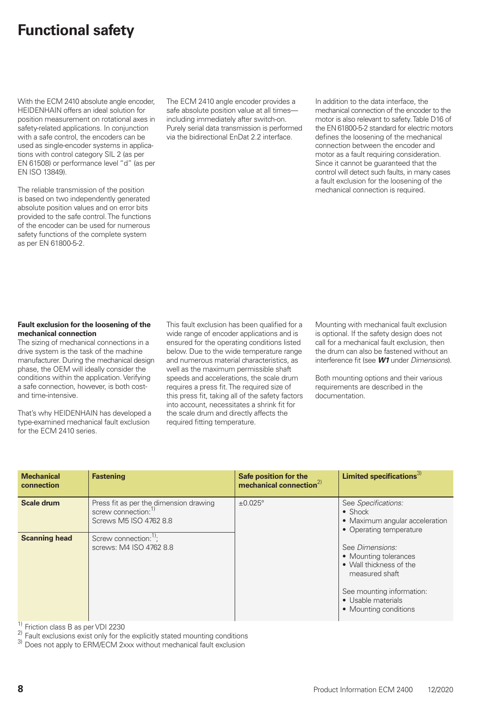### **Functional safety**

With the ECM 2410 absolute angle encoder, HEIDENHAIN offers an ideal solution for position measurement on rotational axes in safety-related applications. In conjunction with a safe control, the encoders can be used as single-encoder systems in applications with control category SIL 2 (as per EN 61508) or performance level "d" (as per EN ISO 13849).

The reliable transmission of the position is based on two independently generated absolute position values and on error bits provided to the safe control. The functions of the encoder can be used for numerous safety functions of the complete system as per EN 61800-5-2.

The ECM 2410 angle encoder provides a safe absolute position value at all timesincluding immediately after switch-on. Purely serial data transmission is performed via the bidirectional EnDat 2.2 interface.

In addition to the data interface, the mechanical connection of the encoder to the motor is also relevant to safety. Table D16 of the EN 61800-5-2 standard for electric motors defines the loosening of the mechanical connection between the encoder and motor as a fault requiring consideration. Since it cannot be guaranteed that the control will detect such faults, in many cases a fault exclusion for the loosening of the mechanical connection is required.

#### **Fault exclusion for the loosening of the mechanical connection**

The sizing of mechanical connections in a drive system is the task of the machine manufacturer. During the mechanical design phase, the OEM will ideally consider the conditions within the application. Verifying a safe connection, however, is both costand time-intensive.

That's why HEIDENHAIN has developed a type-examined mechanical fault exclusion for the ECM 2410 series.

This fault exclusion has been qualified for a wide range of encoder applications and is ensured for the operating conditions listed below. Due to the wide temperature range and numerous material characteristics, as well as the maximum permissible shaft speeds and accelerations, the scale drum requires a press fit. The required size of this press fit, taking all of the safety factors into account, necessitates a shrink fit for the scale drum and directly affects the required fitting temperature.

Mounting with mechanical fault exclusion is optional. If the safety design does not call for a mechanical fault exclusion, then the drum can also be fastened without an interference fit (see *W1* under *Dimensions*).

Both mounting options and their various requirements are described in the documentation.

| <b>Mechanical</b><br>connection | <b>Fastening</b>                                                                                    | Safe position for the<br>mechanical connection $^{2)}$ | Limited specifications $3$                                                                                                                                        |  |
|---------------------------------|-----------------------------------------------------------------------------------------------------|--------------------------------------------------------|-------------------------------------------------------------------------------------------------------------------------------------------------------------------|--|
| <b>Scale drum</b>               | Press fit as per the dimension drawing<br>screw connection: <sup>1)</sup><br>Screws M5 ISO 4762 8.8 | $\pm 0.025^\circ$                                      | See Specifications:<br>$\bullet$ Shock<br>• Maximum angular acceleration<br>• Operating temperature                                                               |  |
| <b>Scanning head</b>            | Screw connection: <sup>1)</sup> ;<br>screws: M4 ISO 4762 8.8                                        |                                                        | See Dimensions:<br>• Mounting tolerances<br>• Wall thickness of the<br>measured shaft<br>See mounting information:<br>• Usable materials<br>• Mounting conditions |  |

<sup>1)</sup> Friction class B as per VDI 2230<br><sup>2)</sup> Fault exclusions exist only for the explicitly stated mounting conditions  $\frac{3}{3}$  Does not apply to ERM/ECM 2xxx without mechanical fault exclusion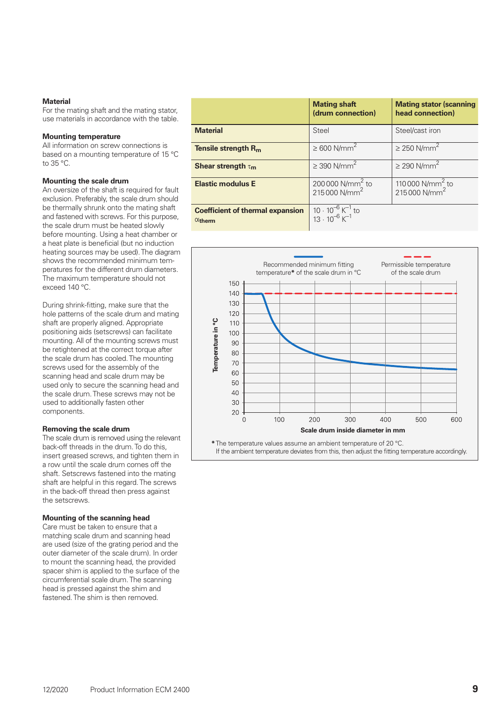### **Material**

For the mating shaft and the mating stator, use materials in accordance with the table.

#### **Mounting temperature**

All information on screw connections is based on a mounting temperature of 15 °C to 35 °C.

### **Mounting the scale drum**

An oversize of the shaft is required for fault exclusion. Preferably, the scale drum should be thermally shrunk onto the mating shaft and fastened with screws. For this purpose, the scale drum must be heated slowly before mounting. Using a heat chamber or a heat plate is beneficial (but no induction heating sources may be used). The diagram shows the recommended minimum temperatures for the different drum diameters. The maximum temperature should not exceed 140 °C.

During shrink-fitting, make sure that the hole patterns of the scale drum and mating shaft are properly aligned. Appropriate positioning aids (setscrews) can facilitate mounting. All of the mounting screws must be retightened at the correct torque after the scale drum has cooled. The mounting screws used for the assembly of the scanning head and scale drum may be used only to secure the scanning head and the scale drum. These screws may not be used to additionally fasten other components.

#### **Removing the scale drum**

The scale drum is removed using the relevant back-off threads in the drum. To do this, insert greased screws, and tighten them in a row until the scale drum comes off the shaft. Setscrews fastened into the mating shaft are helpful in this regard. The screws in the back-off thread then press against the setscrews.

#### **Mounting of the scanning head**

Care must be taken to ensure that a matching scale drum and scanning head are used (size of the grating period and the outer diameter of the scale drum). In order to mount the scanning head, the provided spacer shim is applied to the surface of the circumferential scale drum. The scanning head is pressed against the shim and fastened. The shim is then removed.

|                                                           | <b>Mating shaft</b><br>(drum connection)                                    | <b>Mating stator (scanning</b><br>head connection)        |
|-----------------------------------------------------------|-----------------------------------------------------------------------------|-----------------------------------------------------------|
| <b>Material</b>                                           | <b>Steel</b>                                                                | Steel/cast iron                                           |
| Tensile strength $R_{m}$                                  | $\geq 600$ N/mm <sup>2</sup>                                                | $\geq$ 250 N/mm <sup>2</sup>                              |
| Shear strength $\tau_{m}$                                 | $\geq$ 390 N/mm <sup>2</sup>                                                | $\geq$ 290 N/mm <sup>2</sup>                              |
| <b>Elastic modulus E</b>                                  | 200 000 N/mm <sup>2</sup> to<br>215 000 N/mm <sup>2</sup>                   | 110 000 N/mm <sup>2</sup> to<br>215 000 N/mm <sup>2</sup> |
| <b>Coefficient of thermal expansion</b><br>$\alpha$ therm | $10 \cdot 10^{-6}$ K <sup>-1</sup> to<br>13 $\cdot 10^{-6}$ K <sup>-1</sup> |                                                           |



**\***The temperature values assume an ambient temperature of 20 °C. If the ambient temperature deviates from this, then adjust the fitting temperature accordingly.